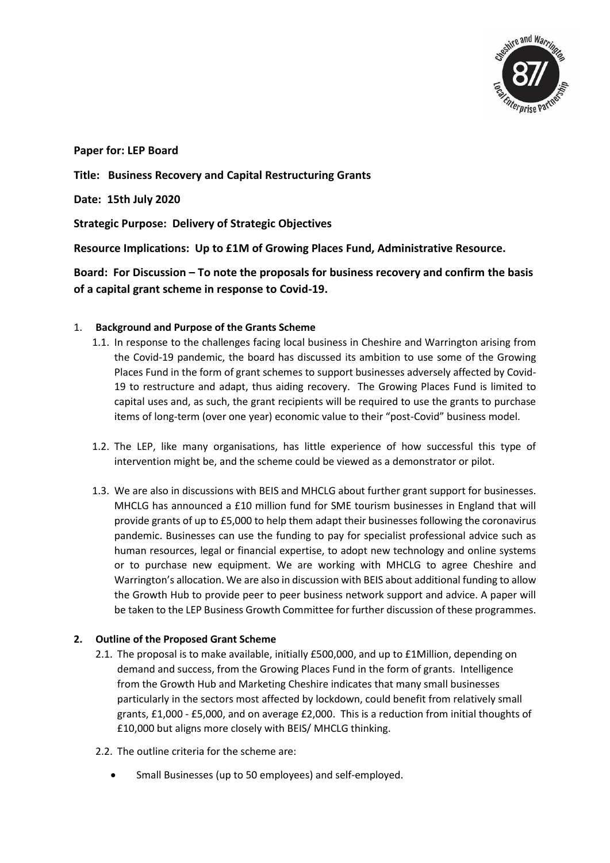

**Paper for: LEP Board**

**Title: Business Recovery and Capital Restructuring Grants**

**Date: 15th July 2020**

**Strategic Purpose: Delivery of Strategic Objectives**

**Resource Implications: Up to £1M of Growing Places Fund, Administrative Resource.** 

**Board: For Discussion – To note the proposals for business recovery and confirm the basis of a capital grant scheme in response to Covid-19.** 

# 1. **Background and Purpose of the Grants Scheme**

- 1.1. In response to the challenges facing local business in Cheshire and Warrington arising from the Covid-19 pandemic, the board has discussed its ambition to use some of the Growing Places Fund in the form of grant schemes to support businesses adversely affected by Covid-19 to restructure and adapt, thus aiding recovery. The Growing Places Fund is limited to capital uses and, as such, the grant recipients will be required to use the grants to purchase items of long-term (over one year) economic value to their "post-Covid" business model.
- 1.2. The LEP, like many organisations, has little experience of how successful this type of intervention might be, and the scheme could be viewed as a demonstrator or pilot.
- 1.3. We are also in discussions with BEIS and MHCLG about further grant support for businesses. MHCLG has announced a £10 million fund for SME tourism businesses in England that will provide grants of up to £5,000 to help them adapt their businesses following the coronavirus pandemic. Businesses can use the funding to pay for specialist professional advice such as human resources, legal or financial expertise, to adopt new technology and online systems or to purchase new equipment. We are working with MHCLG to agree Cheshire and Warrington's allocation. We are also in discussion with BEIS about additional funding to allow the Growth Hub to provide peer to peer business network support and advice. A paper will be taken to the LEP Business Growth Committee for further discussion of these programmes.

# **2. Outline of the Proposed Grant Scheme**

- 2.1. The proposal is to make available, initially £500,000, and up to £1Million, depending on demand and success, from the Growing Places Fund in the form of grants. Intelligence from the Growth Hub and Marketing Cheshire indicates that many small businesses particularly in the sectors most affected by lockdown, could benefit from relatively small grants, £1,000 - £5,000, and on average £2,000. This is a reduction from initial thoughts of £10,000 but aligns more closely with BEIS/ MHCLG thinking.
- 2.2. The outline criteria for the scheme are:
	- Small Businesses (up to 50 employees) and self-employed.